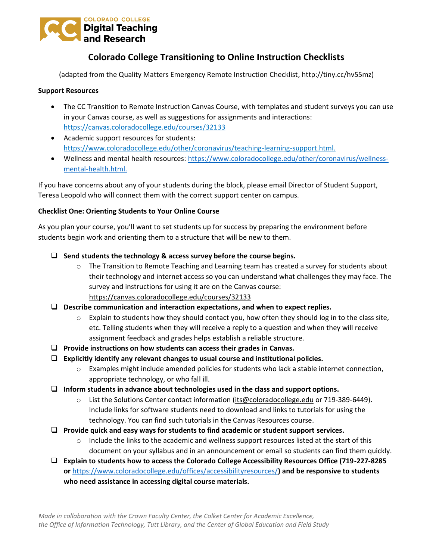

## **Colorado College Transitioning to Online Instruction Checklists**

(adapted from the Quality Matters Emergency Remote Instruction Checklist, http://tiny.cc/hv55mz)

## **Support Resources**

- The CC Transition to Remote Instruction Canvas Course, with templates and student surveys you can use in your Canvas course, as well as suggestions for assignments and interactions: <https://canvas.coloradocollege.edu/courses/32133>
- Academic support resources for students: [https://www.coloradocollege.edu/other/coronavirus/teaching-learning-support.html.](https://www.coloradocollege.edu/other/coronavirus/teaching-learning-support.html)
- Wellness and mental health resources: [https://www.coloradocollege.edu/other/coronavirus/wellness](https://www.coloradocollege.edu/other/coronavirus/wellness-mental-health.html)[mental-health.html.](https://www.coloradocollege.edu/other/coronavirus/wellness-mental-health.html)

If you have concerns about any of your students during the block, please email Director of Student Support, Teresa Leopold who will connect them with the correct support center on campus.

## **Checklist One: Orienting Students to Your Online Course**

As you plan your course, you'll want to set students up for success by preparing the environment before students begin work and orienting them to a structure that will be new to them.

- ❑ **Send students the technology & access survey before the course begins.**
	- $\circ$  The Transition to Remote Teaching and Learning team has created a survey for students about their technology and internet access so you can understand what challenges they may face. The survey and instructions for using it are on the Canvas course: <https://canvas.coloradocollege.edu/courses/32133>
- ❑ **Describe communication and interaction expectations, and when to expect replies.**
	- $\circ$  Explain to students how they should contact you, how often they should log in to the class site, etc. Telling students when they will receive a reply to a question and when they will receive assignment feedback and grades helps establish a reliable structure.
- ❑ **Provide instructions on how students can access their grades in Canvas.**
- ❑ **Explicitly identify any relevant changes to usual course and institutional policies.**
	- o Examples might include amended policies for students who lack a stable internet connection, appropriate technology, or who fall ill.
- ❑ **Inform students in advance about technologies used in the class and support options.**
	- o List the Solutions Center contact information [\(its@coloradocollege.edu](mailto:its@coloradocollege.edu) or 719-389-6449). Include links for software students need to download and links to tutorials for using the technology. You can find such tutorials in the Canvas Resources course.
- ❑ **Provide quick and easy ways for students to find academic or student support services.**
	- $\circ$  Include the links to the academic and wellness support resources listed at the start of this document on your syllabus and in an announcement or email so students can find them quickly.
- ❑ **Explain to students how to access the Colorado College Accessibility Resources Office (719-227-8285 or** <https://www.coloradocollege.edu/offices/accessibilityresources/>**) and be responsive to students who need assistance in accessing digital course materials.**